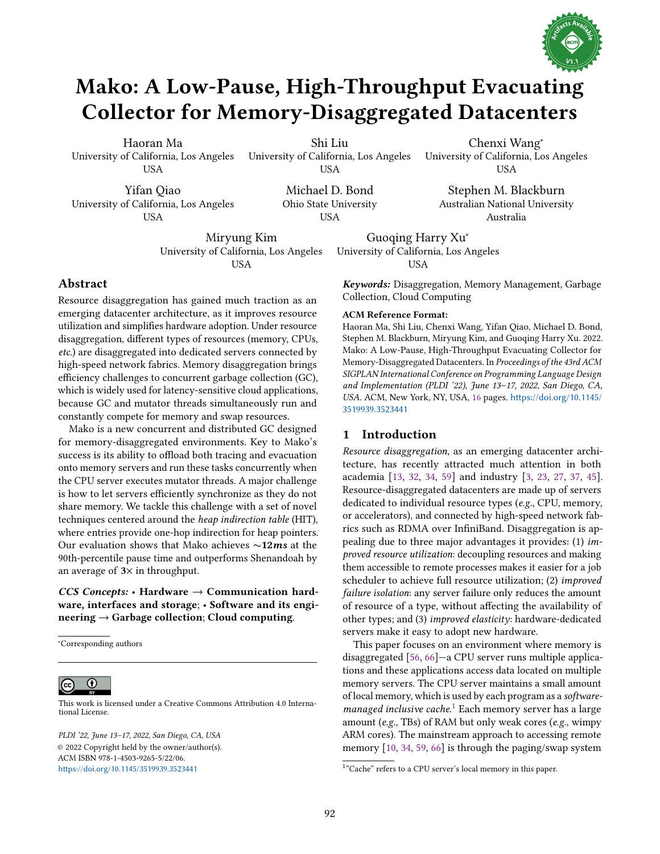

# Mako: A Low-Pause, High-Throughput Evacuating Collector for Memory-Disaggregated Datacenters

Haoran Ma University of California, Los Angeles USA

Shi Liu University of California, Los Angeles USA

Yifan Qiao University of California, Los Angeles USA

Michael D. Bond Ohio State University USA

University of California, Los Angeles USA Stephen M. Blackburn

Australian National University Australia

Chenxi Wang<sup>∗</sup>

Miryung Kim University of California, Los Angeles USA

# Abstract

Resource disaggregation has gained much traction as an emerging datacenter architecture, as it improves resource utilization and simplifies hardware adoption. Under resource disaggregation, different types of resources (memory, CPUs, etc.) are disaggregated into dedicated servers connected by high-speed network fabrics. Memory disaggregation brings efficiency challenges to concurrent garbage collection (GC), which is widely used for latency-sensitive cloud applications, because GC and mutator threads simultaneously run and constantly compete for memory and swap resources.

Mako is a new concurrent and distributed GC designed for memory-disaggregated environments. Key to Mako's success is its ability to offload both tracing and evacuation onto memory servers and run these tasks concurrently when the CPU server executes mutator threads. A major challenge is how to let servers efficiently synchronize as they do not share memory. We tackle this challenge with a set of novel techniques centered around the heap indirection table (HIT), where entries provide one-hop indirection for heap pointers. Our evaluation shows that Mako achieves ∼12*ms* at the 90th-percentile pause time and outperforms Shenandoah by an average of 3× in throughput.

*CCS Concepts:* • Hardware → Communication hardware, interfaces and storage; • Software and its engineering  $\rightarrow$  Garbage collection; Cloud computing.

<sup>∗</sup>Corresponding authors

 $\bf \odot$ 

[This work is licensed under a Creative Commons Attribution 4.0 Interna](http://creativecommons.org/licenses/by/4.0/)tional License.

PLDI '22, June 13-17, 2022, San Diego, CA, USA © 2022 Copyright held by the owner/author(s). ACM ISBN 978-1-4503-9265-5/22/06. <https://doi.org/10.1145/3519939.3523441>

Guoqing Harry Xu<sup>∗</sup> University of California, Los Angeles **USA** 

*Keywords:* Disaggregation, Memory Management, Garbage Collection, Cloud Computing

#### ACM Reference Format:

Haoran Ma, Shi Liu, Chenxi Wang, Yifan Qiao, Michael D. Bond, Stephen M. Blackburn, Miryung Kim, and Guoqing Harry Xu. 2022. Mako: A Low-Pause, High-Throughput Evacuating Collector for Memory-Disaggregated Datacenters. In Proceedings of the 43rd ACM SIGPLAN International Conference on Programming Language Design and Implementation (PLDI '22), June 13-17, 2022, San Diego, CA, USA. ACM, New York, NY, USA, [16](#page-15-0) pages. [https://doi.org/10.1145/](https://doi.org/10.1145/3519939.3523441) [3519939.3523441](https://doi.org/10.1145/3519939.3523441)

## <span id="page-0-1"></span>1 Introduction

Resource disaggregation, as an emerging datacenter architecture, has recently attracted much attention in both academia [\[13,](#page-14-0) [32,](#page-14-1) [34,](#page-14-2) [59\]](#page-15-1) and industry [\[3,](#page-14-3) [23,](#page-14-4) [27,](#page-14-5) [37,](#page-14-6) [45\]](#page-14-7). Resource-disaggregated datacenters are made up of servers dedicated to individual resource types (e.g., CPU, memory, or accelerators), and connected by high-speed network fabrics such as RDMA over InfiniBand. Disaggregation is appealing due to three major advantages it provides: (1) improved resource utilization: decoupling resources and making them accessible to remote processes makes it easier for a job scheduler to achieve full resource utilization; (2) improved failure isolation: any server failure only reduces the amount of resource of a type, without affecting the availability of other types; and (3) improved elasticity: hardware-dedicated servers make it easy to adopt new hardware.

This paper focuses on an environment where memory is disaggregated  $[56, 66]$  $[56, 66]$   $-a$  CPU server runs multiple applications and these applications access data located on multiple memory servers. The CPU server maintains a small amount of local memory, which is used by each program as a softwaremanaged inclusive cache. [1](#page-0-0) Each memory server has a large amount (e.g., TBs) of RAM but only weak cores (e.g., wimpy ARM cores). The mainstream approach to accessing remote memory [\[10,](#page-14-8) [34,](#page-14-2) [59,](#page-15-1) [66\]](#page-15-3) is through the paging/swap system

<span id="page-0-0"></span><sup>&</sup>lt;sup>1</sup>"Cache" refers to a CPU server's local memory in this paper.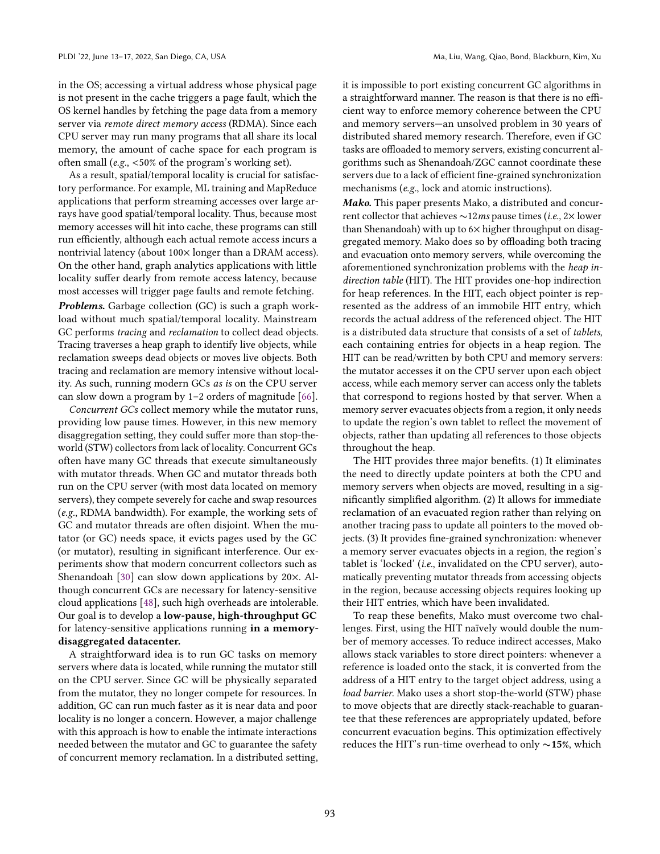in the OS; accessing a virtual address whose physical page is not present in the cache triggers a page fault, which the OS kernel handles by fetching the page data from a memory server via remote direct memory access (RDMA). Since each CPU server may run many programs that all share its local memory, the amount of cache space for each program is often small (e.g., <50% of the program's working set).

As a result, spatial/temporal locality is crucial for satisfactory performance. For example, ML training and MapReduce applications that perform streaming accesses over large arrays have good spatial/temporal locality. Thus, because most memory accesses will hit into cache, these programs can still run efficiently, although each actual remote access incurs a nontrivial latency (about  $100 \times$  longer than a DRAM access). On the other hand, graph analytics applications with little locality suffer dearly from remote access latency, because most accesses will trigger page faults and remote fetching.

*Problems.* Garbage collection (GC) is such a graph workload without much spatial/temporal locality. Mainstream GC performs tracing and reclamation to collect dead objects. Tracing traverses a heap graph to identify live objects, while reclamation sweeps dead objects or moves live objects. Both tracing and reclamation are memory intensive without locality. As such, running modern GCs as is on the CPU server can slow down a program by  $1-2$  orders of magnitude [\[66\]](#page-15-3).

Concurrent GCs collect memory while the mutator runs, providing low pause times. However, in this new memory disaggregation setting, they could suffer more than stop-theworld (STW) collectors from lack of locality. Concurrent GCs often have many GC threads that execute simultaneously with mutator threads. When GC and mutator threads both run on the CPU server (with most data located on memory servers), they compete severely for cache and swap resources (e.g., RDMA bandwidth). For example, the working sets of GC and mutator threads are often disjoint. When the mutator (or GC) needs space, it evicts pages used by the GC (or mutator), resulting in significant interference. Our experiments show that modern concurrent collectors such as Shenandoah [\[30\]](#page-14-9) can slow down applications by 20×. Although concurrent GCs are necessary for latency-sensitive cloud applications [\[48\]](#page-15-4), such high overheads are intolerable. Our goal is to develop a low-pause, high-throughput GC for latency-sensitive applications running in a memorydisaggregated datacenter.

A straightforward idea is to run GC tasks on memory servers where data is located, while running the mutator still on the CPU server. Since GC will be physically separated from the mutator, they no longer compete for resources. In addition, GC can run much faster as it is near data and poor locality is no longer a concern. However, a major challenge with this approach is how to enable the intimate interactions needed between the mutator and GC to guarantee the safety of concurrent memory reclamation. In a distributed setting, it is impossible to port existing concurrent GC algorithms in a straightforward manner. The reason is that there is no efficient way to enforce memory coherence between the CPU and memory servers-an unsolved problem in 30 years of distributed shared memory research. Therefore, even if GC tasks are offloaded to memory servers, existing concurrent algorithms such as Shenandoah/ZGC cannot coordinate these servers due to a lack of efficient fine-grained synchronization mechanisms (e.g., lock and atomic instructions).

*Mako.* This paper presents Mako, a distributed and concurrent collector that achieves ∼12ms pause times (i.e., 2× lower than Shenandoah) with up to  $6\times$  higher throughput on disaggregated memory. Mako does so by offloading both tracing and evacuation onto memory servers, while overcoming the aforementioned synchronization problems with the heap indirection table (HIT). The HIT provides one-hop indirection for heap references. In the HIT, each object pointer is represented as the address of an immobile HIT entry, which records the actual address of the referenced object. The HIT is a distributed data structure that consists of a set of tablets, each containing entries for objects in a heap region. The HIT can be read/written by both CPU and memory servers: the mutator accesses it on the CPU server upon each object access, while each memory server can access only the tablets that correspond to regions hosted by that server. When a memory server evacuates objects from a region, it only needs to update the region's own tablet to reflect the movement of objects, rather than updating all references to those objects throughout the heap.

The HIT provides three major benefits. (1) It eliminates the need to directly update pointers at both the CPU and memory servers when objects are moved, resulting in a significantly simplified algorithm. (2) It allows for immediate reclamation of an evacuated region rather than relying on another tracing pass to update all pointers to the moved objects. (3) It provides fine-grained synchronization: whenever a memory server evacuates objects in a region, the region's tablet is 'locked' (i.e., invalidated on the CPU server), automatically preventing mutator threads from accessing objects in the region, because accessing objects requires looking up their HIT entries, which have been invalidated.

To reap these benefits, Mako must overcome two challenges. First, using the HIT naïvely would double the number of memory accesses. To reduce indirect accesses, Mako allows stack variables to store direct pointers: whenever a reference is loaded onto the stack, it is converted from the address of a HIT entry to the target object address, using a load barrier. Mako uses a short stop-the-world (STW) phase to move objects that are directly stack-reachable to guarantee that these references are appropriately updated, before concurrent evacuation begins. This optimization effectively reduces the HIT's run-time overhead to only ∼15%, which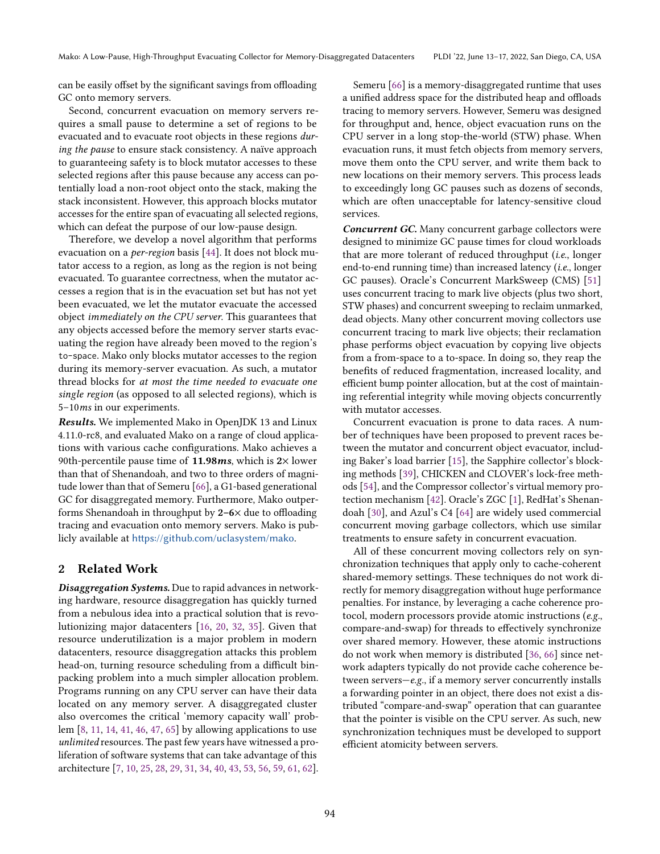can be easily offset by the significant savings from offloading GC onto memory servers.

Second, concurrent evacuation on memory servers requires a small pause to determine a set of regions to be evacuated and to evacuate root objects in these regions during the pause to ensure stack consistency. A naïve approach to guaranteeing safety is to block mutator accesses to these selected regions after this pause because any access can potentially load a non-root object onto the stack, making the stack inconsistent. However, this approach blocks mutator accesses for the entire span of evacuating all selected regions, which can defeat the purpose of our low-pause design.

Therefore, we develop a novel algorithm that performs evacuation on a per-region basis [\[44\]](#page-14-10). It does not block mutator access to a region, as long as the region is not being evacuated. To guarantee correctness, when the mutator accesses a region that is in the evacuation set but has not yet been evacuated, we let the mutator evacuate the accessed object immediately on the CPU server. This guarantees that any objects accessed before the memory server starts evacuating the region have already been moved to the region's to-space. Mako only blocks mutator accesses to the region during its memory-server evacuation. As such, a mutator thread blocks for at most the time needed to evacuate one single region (as opposed to all selected regions), which is 5-10ms in our experiments.

*Results.* We implemented Mako in OpenJDK 13 and Linux 4.11.0-rc8, and evaluated Mako on a range of cloud applications with various cache configurations. Mako achieves a 90th-percentile pause time of 11.98*ms*, which is 2× lower than that of Shenandoah, and two to three orders of magnitude lower than that of Semeru [\[66\]](#page-15-3), a G1-based generational GC for disaggregated memory. Furthermore, Mako outperforms Shenandoah in throughput by  $2-6\times$  due to offloading tracing and evacuation onto memory servers. Mako is publicly available at <https://github.com/uclasystem/mako>.

## 2 Related Work

*Disaggregation Systems.* Due to rapid advances in networking hardware, resource disaggregation has quickly turned from a nebulous idea into a practical solution that is revolutionizing major datacenters [\[16,](#page-14-11) [20,](#page-14-12) [32,](#page-14-1) [35\]](#page-14-13). Given that resource underutilization is a major problem in modern datacenters, resource disaggregation attacks this problem head-on, turning resource scheduling from a difficult binpacking problem into a much simpler allocation problem. Programs running on any CPU server can have their data located on any memory server. A disaggregated cluster also overcomes the critical 'memory capacity wall' problem [\[8,](#page-14-14) [11,](#page-14-15) [14,](#page-14-16) [41,](#page-14-17) [46,](#page-15-5) [47,](#page-15-6) [65\]](#page-15-7) by allowing applications to use unlimited resources. The past few years have witnessed a proliferation of software systems that can take advantage of this architecture [\[7,](#page-14-18) [10,](#page-14-8) [25,](#page-14-19) [28,](#page-14-20) [29,](#page-14-21) [31,](#page-14-22) [34,](#page-14-2) [40,](#page-14-23) [43,](#page-14-24) [53,](#page-15-8) [56,](#page-15-2) [59,](#page-15-1) [61,](#page-15-9) [62\]](#page-15-10).

Semeru [\[66\]](#page-15-3) is a memory-disaggregated runtime that uses a unified address space for the distributed heap and offloads tracing to memory servers. However, Semeru was designed for throughput and, hence, object evacuation runs on the CPU server in a long stop-the-world (STW) phase. When evacuation runs, it must fetch objects from memory servers, move them onto the CPU server, and write them back to new locations on their memory servers. This process leads to exceedingly long GC pauses such as dozens of seconds, which are often unacceptable for latency-sensitive cloud services.

*Concurrent GC.* Many concurrent garbage collectors were designed to minimize GC pause times for cloud workloads that are more tolerant of reduced throughput (i.e., longer end-to-end running time) than increased latency (i.e., longer GC pauses). Oracle's Concurrent MarkSweep (CMS) [\[51\]](#page-15-11) uses concurrent tracing to mark live objects (plus two short, STW phases) and concurrent sweeping to reclaim unmarked, dead objects. Many other concurrent moving collectors use concurrent tracing to mark live objects; their reclamation phase performs object evacuation by copying live objects from a from-space to a to-space. In doing so, they reap the benefits of reduced fragmentation, increased locality, and efficient bump pointer allocation, but at the cost of maintaining referential integrity while moving objects concurrently with mutator accesses.

Concurrent evacuation is prone to data races. A number of techniques have been proposed to prevent races between the mutator and concurrent object evacuator, including Baker's load barrier [\[15\]](#page-14-25), the Sapphire collector's blocking methods [\[39\]](#page-14-26), CHICKEN and CLOVER's lock-free methods [\[54\]](#page-15-12), and the Compressor collector's virtual memory protection mechanism [\[42\]](#page-14-27). Oracle's ZGC [\[1\]](#page-14-28), RedHat's Shenandoah [\[30\]](#page-14-9), and Azul's C4 [\[64\]](#page-15-13) are widely used commercial concurrent moving garbage collectors, which use similar treatments to ensure safety in concurrent evacuation.

All of these concurrent moving collectors rely on synchronization techniques that apply only to cache-coherent shared-memory settings. These techniques do not work directly for memory disaggregation without huge performance penalties. For instance, by leveraging a cache coherence protocol, modern processors provide atomic instructions (e.g., compare-and-swap) for threads to effectively synchronize over shared memory. However, these atomic instructions do not work when memory is distributed [\[36,](#page-14-29) [66\]](#page-15-3) since network adapters typically do not provide cache coherence between servers $-e.g.,$  if a memory server concurrently installs a forwarding pointer in an object, there does not exist a distributed "compare-and-swap" operation that can guarantee that the pointer is visible on the CPU server. As such, new synchronization techniques must be developed to support efficient atomicity between servers.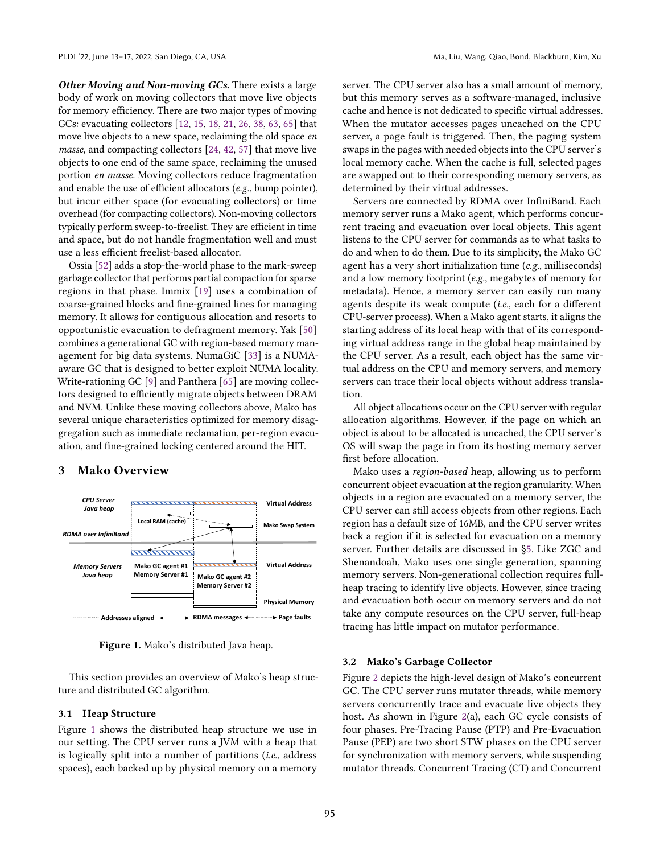*Other Moving and Non-moving GCs.* There exists a large body of work on moving collectors that move live objects for memory efficiency. There are two major types of moving GCs: evacuating collectors [\[12,](#page-14-30) [15,](#page-14-25) [18,](#page-14-31) [21,](#page-14-32) [26,](#page-14-33) [38,](#page-14-34) [63,](#page-15-14) [65\]](#page-15-7) that move live objects to a new space, reclaiming the old space en masse, and compacting collectors [\[24,](#page-14-35) [42,](#page-14-27) [57\]](#page-15-15) that move live objects to one end of the same space, reclaiming the unused portion en masse. Moving collectors reduce fragmentation and enable the use of efficient allocators (e.g., bump pointer), but incur either space (for evacuating collectors) or time overhead (for compacting collectors). Non-moving collectors typically perform sweep-to-freelist. They are efficient in time and space, but do not handle fragmentation well and must use a less efficient freelist-based allocator.

Ossia [\[52\]](#page-15-16) adds a stop-the-world phase to the mark-sweep garbage collector that performs partial compaction for sparse regions in that phase. Immix [\[19\]](#page-14-36) uses a combination of coarse-grained blocks and fine-grained lines for managing memory. It allows for contiguous allocation and resorts to opportunistic evacuation to defragment memory. Yak [\[50\]](#page-15-17) combines a generational GC with region-based memory management for big data systems. NumaGiC [\[33\]](#page-14-37) is a NUMAaware GC that is designed to better exploit NUMA locality. Write-rationing GC [\[9\]](#page-14-38) and Panthera [\[65\]](#page-15-7) are moving collectors designed to efficiently migrate objects between DRAM and NVM. Unlike these moving collectors above, Mako has several unique characteristics optimized for memory disaggregation such as immediate reclamation, per-region evacuation, and fine-grained locking centered around the HIT.

## 3 Mako Overview

*CPU Server* 

<span id="page-3-0"></span>

Figure 1. Mako's distributed Java heap.

This section provides an overview of Mako's heap structure and distributed GC algorithm.

#### 3.1 Heap Structure

Figure [1](#page-3-0) shows the distributed heap structure we use in our setting. The CPU server runs a JVM with a heap that is logically split into a number of partitions (i.e., address spaces), each backed up by physical memory on a memory server. The CPU server also has a small amount of memory, but this memory serves as a software-managed, inclusive cache and hence is not dedicated to specific virtual addresses. When the mutator accesses pages uncached on the CPU server, a page fault is triggered. Then, the paging system swaps in the pages with needed objects into the CPU server's local memory cache. When the cache is full, selected pages are swapped out to their corresponding memory servers, as determined by their virtual addresses.

Servers are connected by RDMA over InfiniBand. Each memory server runs a Mako agent, which performs concurrent tracing and evacuation over local objects. This agent listens to the CPU server for commands as to what tasks to do and when to do them. Due to its simplicity, the Mako GC agent has a very short initialization time (e.g., milliseconds) and a low memory footprint (e.g., megabytes of memory for metadata). Hence, a memory server can easily run many agents despite its weak compute (i.e., each for a different CPU-server process). When a Mako agent starts, it aligns the starting address of its local heap with that of its corresponding virtual address range in the global heap maintained by the CPU server. As a result, each object has the same virtual address on the CPU and memory servers, and memory servers can trace their local objects without address translation.

All object allocations occur on the CPU server with regular allocation algorithms. However, if the page on which an object is about to be allocated is uncached, the CPU server's OS will swap the page in from its hosting memory server first before allocation.

Mako uses a region-based heap, allowing us to perform concurrent object evacuation at the region granularity. When objects in a region are evacuated on a memory server, the CPU server can still access objects from other regions. Each region has a default size of 16MB, and the CPU server writes back a region if it is selected for evacuation on a memory server. Further details are discussed in [ğ5.](#page-6-0) Like ZGC and Shenandoah, Mako uses one single generation, spanning memory servers. Non-generational collection requires fullheap tracing to identify live objects. However, since tracing and evacuation both occur on memory servers and do not take any compute resources on the CPU server, full-heap tracing has little impact on mutator performance.

#### 3.2 Mako's Garbage Collector

Figure [2](#page-4-0) depicts the high-level design of Mako's concurrent GC. The CPU server runs mutator threads, while memory servers concurrently trace and evacuate live objects they host. As shown in Figure [2\(](#page-4-0)a), each GC cycle consists of four phases. Pre-Tracing Pause (PTP) and Pre-Evacuation Pause (PEP) are two short STW phases on the CPU server for synchronization with memory servers, while suspending mutator threads. Concurrent Tracing (CT) and Concurrent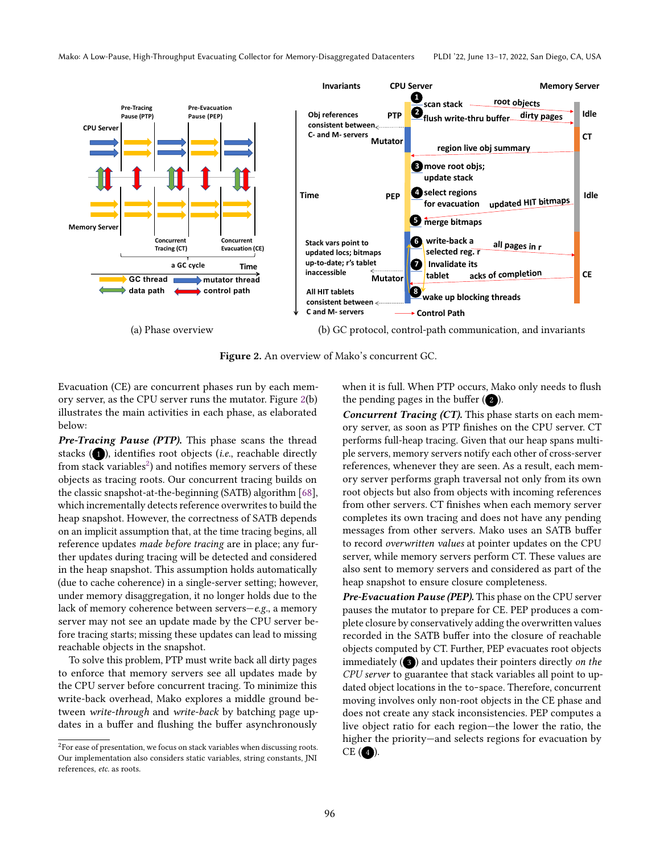<span id="page-4-0"></span>

Figure 2. An overview of Mako's concurrent GC.

Evacuation (CE) are concurrent phases run by each memory server, as the CPU server runs the mutator. Figure [2\(](#page-4-0)b) illustrates the main activities in each phase, as elaborated below:

*Pre-Tracing Pause (PTP).* This phase scans the thread stacks  $(1)$ , identifies root objects (*i.e.*, reachable directly from stack variables $^2$  $^2$ ) and notifies memory servers of these objects as tracing roots. Our concurrent tracing builds on the classic snapshot-at-the-beginning (SATB) algorithm [\[68\]](#page-15-18), which incrementally detects reference overwrites to build the heap snapshot. However, the correctness of SATB depends on an implicit assumption that, at the time tracing begins, all reference updates made before tracing are in place; any further updates during tracing will be detected and considered in the heap snapshot. This assumption holds automatically (due to cache coherence) in a single-server setting; however, under memory disaggregation, it no longer holds due to the lack of memory coherence between servers $-e.g.,$  a memory server may not see an update made by the CPU server before tracing starts; missing these updates can lead to missing reachable objects in the snapshot.

To solve this problem, PTP must write back all dirty pages to enforce that memory servers see all updates made by the CPU server before concurrent tracing. To minimize this write-back overhead, Mako explores a middle ground between write-through and write-back by batching page updates in a buffer and flushing the buffer asynchronously

when it is full. When PTP occurs, Mako only needs to flush the pending pages in the buffer  $(2)$ .

*Concurrent Tracing (CT).* This phase starts on each memory server, as soon as PTP finishes on the CPU server. CT performs full-heap tracing. Given that our heap spans multiple servers, memory servers notify each other of cross-server references, whenever they are seen. As a result, each memory server performs graph traversal not only from its own root objects but also from objects with incoming references from other servers. CT finishes when each memory server completes its own tracing and does not have any pending messages from other servers. Mako uses an SATB buffer to record overwritten values at pointer updates on the CPU server, while memory servers perform CT. These values are also sent to memory servers and considered as part of the heap snapshot to ensure closure completeness.

*Pre-Evacuation Pause (PEP).* This phase on the CPU server pauses the mutator to prepare for CE. PEP produces a complete closure by conservatively adding the overwritten values recorded in the SATB buffer into the closure of reachable objects computed by CT. Further, PEP evacuates root objects immediately  $(3)$  and updates their pointers directly on the CPU server to guarantee that stack variables all point to updated object locations in the to-space. Therefore, concurrent moving involves only non-root objects in the CE phase and does not create any stack inconsistencies. PEP computes a live object ratio for each region—the lower the ratio, the higher the priority—and selects regions for evacuation by  $CE$  (4).

<span id="page-4-1"></span> $^2\!$  For ease of presentation, we focus on stack variables when discussing roots. Our implementation also considers static variables, string constants, JNI references, etc. as roots.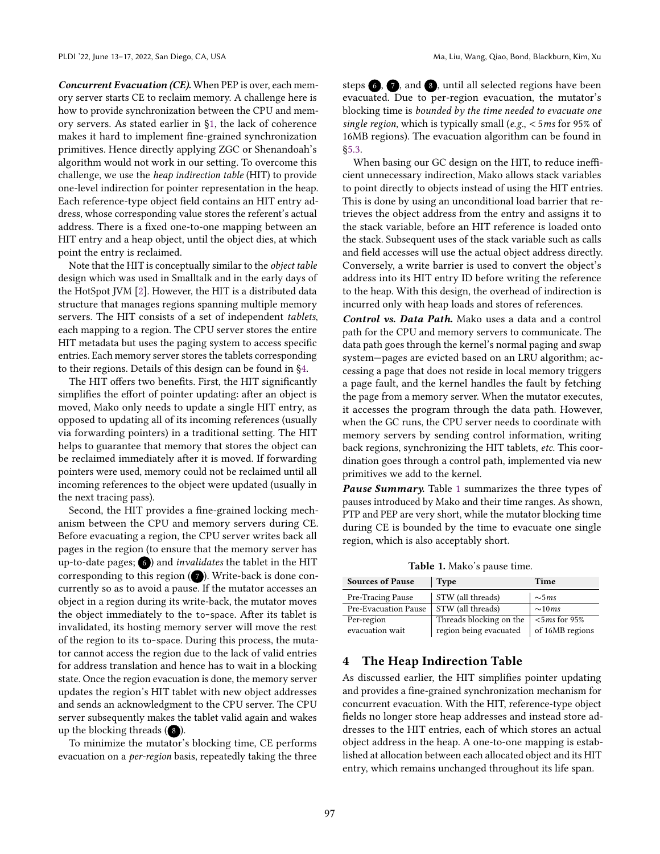*Concurrent Evacuation (CE).* When PEP is over, each memory server starts CE to reclaim memory. A challenge here is how to provide synchronization between the CPU and memory servers. As stated earlier in [ğ1,](#page-0-1) the lack of coherence makes it hard to implement fine-grained synchronization primitives. Hence directly applying ZGC or Shenandoah's algorithm would not work in our setting. To overcome this challenge, we use the heap indirection table (HIT) to provide one-level indirection for pointer representation in the heap. Each reference-type object field contains an HIT entry address, whose corresponding value stores the referent's actual address. There is a fixed one-to-one mapping between an HIT entry and a heap object, until the object dies, at which point the entry is reclaimed.

Note that the HIT is conceptually similar to the object table design which was used in Smalltalk and in the early days of the HotSpot JVM [\[2\]](#page-14-39). However, the HIT is a distributed data structure that manages regions spanning multiple memory servers. The HIT consists of a set of independent tablets, each mapping to a region. The CPU server stores the entire HIT metadata but uses the paging system to access specific entries. Each memory server stores the tablets corresponding to their regions. Details of this design can be found in [ğ4.](#page-5-0)

The HIT offers two benefits. First, the HIT significantly simplifies the effort of pointer updating: after an object is moved, Mako only needs to update a single HIT entry, as opposed to updating all of its incoming references (usually via forwarding pointers) in a traditional setting. The HIT helps to guarantee that memory that stores the object can be reclaimed immediately after it is moved. If forwarding pointers were used, memory could not be reclaimed until all incoming references to the object were updated (usually in the next tracing pass).

Second, the HIT provides a fine-grained locking mechanism between the CPU and memory servers during CE. Before evacuating a region, the CPU server writes back all pages in the region (to ensure that the memory server has up-to-date pages;  $\bigcirc$  ) and *invalidates* the tablet in the HIT corresponding to this region  $(7)$ . Write-back is done concurrently so as to avoid a pause. If the mutator accesses an object in a region during its write-back, the mutator moves the object immediately to the to-space. After its tablet is invalidated, its hosting memory server will move the rest of the region to its to-space. During this process, the mutator cannot access the region due to the lack of valid entries for address translation and hence has to wait in a blocking state. Once the region evacuation is done, the memory server updates the region's HIT tablet with new object addresses and sends an acknowledgment to the CPU server. The CPU server subsequently makes the tablet valid again and wakes up the blocking threads  $(8)$ .

To minimize the mutator's blocking time, CE performs evacuation on a per-region basis, repeatedly taking the three steps  $\odot$ ,  $\odot$ , and  $\odot$ , until all selected regions have been evacuated. Due to per-region evacuation, the mutator's blocking time is bounded by the time needed to evacuate one single region, which is typically small (e.g., < 5ms for 95% of 16MB regions). The evacuation algorithm can be found in [ğ5.3.](#page-8-0)

When basing our GC design on the HIT, to reduce inefficient unnecessary indirection, Mako allows stack variables to point directly to objects instead of using the HIT entries. This is done by using an unconditional load barrier that retrieves the object address from the entry and assigns it to the stack variable, before an HIT reference is loaded onto the stack. Subsequent uses of the stack variable such as calls and field accesses will use the actual object address directly. Conversely, a write barrier is used to convert the object's address into its HIT entry ID before writing the reference to the heap. With this design, the overhead of indirection is incurred only with heap loads and stores of references.

*Control vs. Data Path.* Mako uses a data and a control path for the CPU and memory servers to communicate. The data path goes through the kernel's normal paging and swap system-pages are evicted based on an LRU algorithm; accessing a page that does not reside in local memory triggers a page fault, and the kernel handles the fault by fetching the page from a memory server. When the mutator executes, it accesses the program through the data path. However, when the GC runs, the CPU server needs to coordinate with memory servers by sending control information, writing back regions, synchronizing the HIT tablets, etc. This coordination goes through a control path, implemented via new primitives we add to the kernel.

*Pause Summary.* Table [1](#page-5-1) summarizes the three types of pauses introduced by Mako and their time ranges. As shown, PTP and PEP are very short, while the mutator blocking time during CE is bounded by the time to evacuate one single region, which is also acceptably short.

Table 1. Mako's pause time.

<span id="page-5-1"></span>

| <b>Sources of Pause</b> | <b>Type</b>             | Time             |  |
|-------------------------|-------------------------|------------------|--|
| Pre-Tracing Pause       | STW (all threads)       | $\sim$ 5 $ms$    |  |
| Pre-Evacuation Pause    | STW (all threads)       | $\sim 10ms$      |  |
| Per-region              | Threads blocking on the | $<$ 5 ms for 95% |  |
| evacuation wait         | region being evacuated  | of 16MB regions  |  |

# <span id="page-5-0"></span>4 The Heap Indirection Table

As discussed earlier, the HIT simplifies pointer updating and provides a fine-grained synchronization mechanism for concurrent evacuation. With the HIT, reference-type object fields no longer store heap addresses and instead store addresses to the HIT entries, each of which stores an actual object address in the heap. A one-to-one mapping is established at allocation between each allocated object and its HIT entry, which remains unchanged throughout its life span.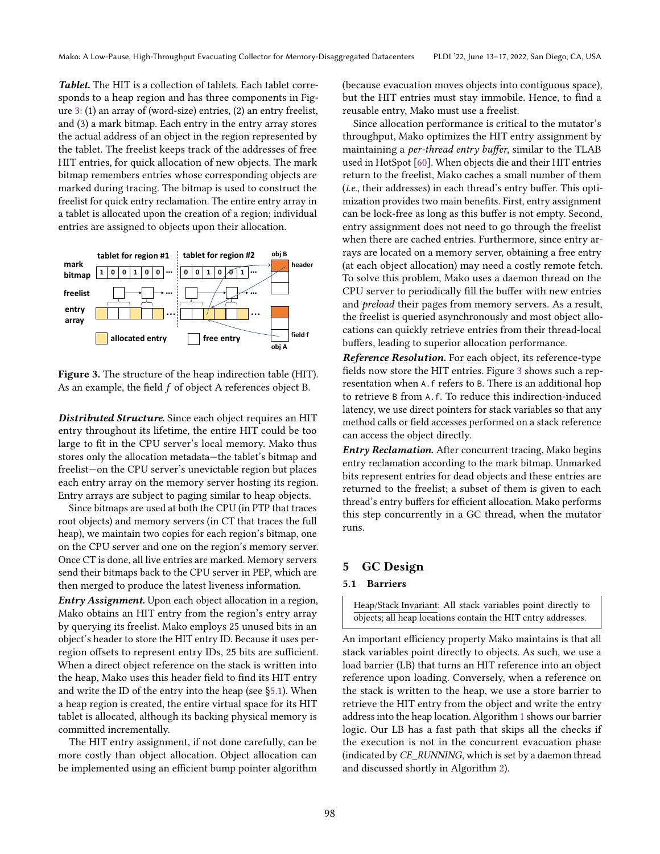*Tablet.* The HIT is a collection of tablets. Each tablet corresponds to a heap region and has three components in Figure [3:](#page-6-1) (1) an array of (word-size) entries, (2) an entry freelist, and (3) a mark bitmap. Each entry in the entry array stores the actual address of an object in the region represented by the tablet. The freelist keeps track of the addresses of free HIT entries, for quick allocation of new objects. The mark bitmap remembers entries whose corresponding objects are marked during tracing. The bitmap is used to construct the freelist for quick entry reclamation. The entire entry array in a tablet is allocated upon the creation of a region; individual entries are assigned to objects upon their allocation.

<span id="page-6-1"></span>

Figure 3. The structure of the heap indirection table (HIT). As an example, the field  $f$  of object A references object B.

*Distributed Structure.* Since each object requires an HIT entry throughout its lifetime, the entire HIT could be too large to fit in the CPU server's local memory. Mako thus stores only the allocation metadata–the tablet's bitmap and freelist-on the CPU server's unevictable region but places each entry array on the memory server hosting its region. Entry arrays are subject to paging similar to heap objects.

Since bitmaps are used at both the CPU (in PTP that traces root objects) and memory servers (in CT that traces the full heap), we maintain two copies for each region's bitmap, one on the CPU server and one on the region's memory server. Once CT is done, all live entries are marked. Memory servers send their bitmaps back to the CPU server in PEP, which are then merged to produce the latest liveness information.

*Entry Assignment.* Upon each object allocation in a region, Mako obtains an HIT entry from the region's entry array by querying its freelist. Mako employs 25 unused bits in an object's header to store the HIT entry ID. Because it uses perregion offsets to represent entry IDs, 25 bits are sufficient. When a direct object reference on the stack is written into the heap, Mako uses this header field to find its HIT entry and write the ID of the entry into the heap (see [ğ5.1\)](#page-6-2). When a heap region is created, the entire virtual space for its HIT tablet is allocated, although its backing physical memory is committed incrementally.

The HIT entry assignment, if not done carefully, can be more costly than object allocation. Object allocation can be implemented using an efficient bump pointer algorithm

(because evacuation moves objects into contiguous space), but the HIT entries must stay immobile. Hence, to find a reusable entry, Mako must use a freelist.

Since allocation performance is critical to the mutator's throughput, Mako optimizes the HIT entry assignment by maintaining a per-thread entry buffer, similar to the TLAB used in HotSpot [\[60\]](#page-15-19). When objects die and their HIT entries return to the freelist, Mako caches a small number of them (i.e., their addresses) in each thread's entry buffer. This optimization provides two main benefits. First, entry assignment can be lock-free as long as this buffer is not empty. Second, entry assignment does not need to go through the freelist when there are cached entries. Furthermore, since entry arrays are located on a memory server, obtaining a free entry (at each object allocation) may need a costly remote fetch. To solve this problem, Mako uses a daemon thread on the CPU server to periodically fill the buffer with new entries and preload their pages from memory servers. As a result, the freelist is queried asynchronously and most object allocations can quickly retrieve entries from their thread-local buffers, leading to superior allocation performance.

*Reference Resolution.* For each object, its reference-type fields now store the HIT entries. Figure [3](#page-6-1) shows such a representation when A.f refers to B. There is an additional hop to retrieve B from A.f. To reduce this indirection-induced latency, we use direct pointers for stack variables so that any method calls or field accesses performed on a stack reference can access the object directly.

*Entry Reclamation.* After concurrent tracing, Mako begins entry reclamation according to the mark bitmap. Unmarked bits represent entries for dead objects and these entries are returned to the freelist; a subset of them is given to each thread's entry buffers for efficient allocation. Mako performs this step concurrently in a GC thread, when the mutator runs.

# <span id="page-6-0"></span>5 GC Design

# <span id="page-6-2"></span>5.1 Barriers

Heap/Stack Invariant: All stack variables point directly to objects; all heap locations contain the HIT entry addresses.

An important efficiency property Mako maintains is that all stack variables point directly to objects. As such, we use a load barrier (LB) that turns an HIT reference into an object reference upon loading. Conversely, when a reference on the stack is written to the heap, we use a store barrier to retrieve the HIT entry from the object and write the entry address into the heap location. Algorithm [1](#page-7-0) shows our barrier logic. Our LB has a fast path that skips all the checks if the execution is not in the concurrent evacuation phase (indicated by CE\_RUNNING, which is set by a daemon thread and discussed shortly in Algorithm [2\)](#page-9-0).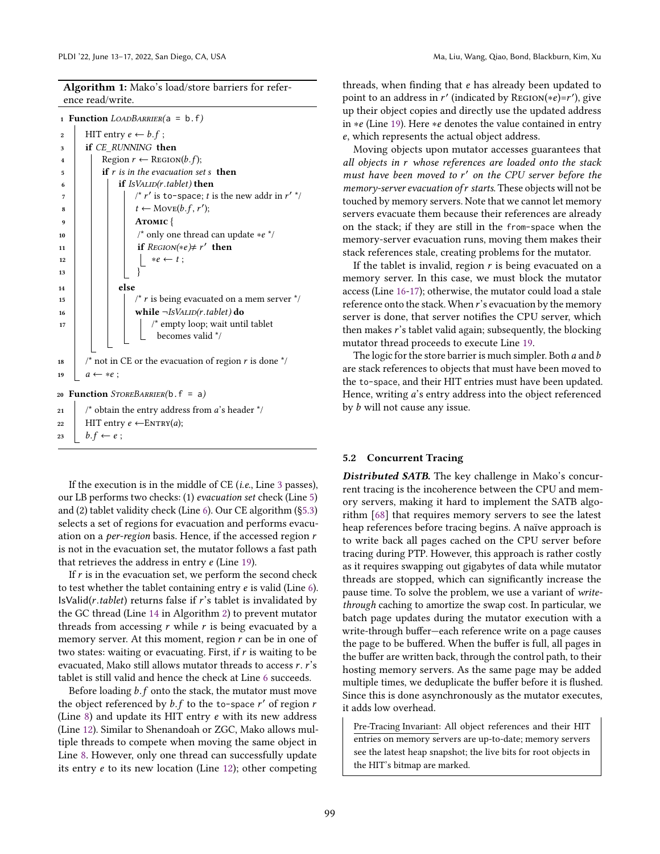Algorithm 1: Mako's load/store barriers for reference read/write.

```
1 Function LOADBARRIER(a = b.f)
```

```
2 HIT entry e \leftarrow b.f;
3 if CE_RUNNING then
4 | Region r \leftarrow REGION(b.f);\begin{array}{c|c} 5 \end{array} if r is in the evacuation set s then
 \begin{array}{c|c|c|c} \hline \text{6} & \text{if } \text{ISVALID}(r.\text{tablet}) \text{ then} \end{array}\begin{array}{ccc} \text{7} & | & | & | & \text{/* } r' \text{ is to-space; } t \text{ is the new addr in } r' \end{array}s \mid \mid \mid t \leftarrow \text{Move}(b.f, r');9 | | | ATOMIC {
10 | | | \prime* only one thread can update ∗e */
11 | | if ResION(*e) \neq r' then
12 ∗ ← t ;
13 | | | }
_{14} | | else
15 | | | \prime r is being evacuated on a mem server \prime16 | | | | while \neg IsVALID(r.table t) do
17 | | | \prime* empty loop; wait until tablet
                             becomes valid */
18 /* not in CE or the evacuation of region r is done \overline{r} /
19 a \leftarrow *e;
20 Function STOREBARRIER(b.f = a)21 \frac{1}{2} \frac{1}{2} \frac{1}{2} obtain the entry address from a's header \frac{x}{4}22 HIT entry e \leftarrow \text{ENTRY}(a);23 b.f \leftarrow e;
```
<span id="page-7-8"></span><span id="page-7-7"></span><span id="page-7-4"></span>If the execution is in the middle of  $CE$  (*i.e.*, Line [3](#page-7-1) passes), our LB performs two checks: (1) evacuation set check (Line [5\)](#page-7-2) and (2) tablet validity check (Line [6\)](#page-7-3). Our CE algorithm ([ğ5.3\)](#page-8-0) selects a set of regions for evacuation and performs evacuation on a *per-region* basis. Hence, if the accessed region  $r$ is not in the evacuation set, the mutator follows a fast path that retrieves the address in entry  $e$  (Line [19\)](#page-7-4).

If  $r$  is in the evacuation set, we perform the second check to test whether the tablet containing entry  $e$  is valid (Line [6\)](#page-7-3).  $IsValid(r.tablet)$  returns false if r's tablet is invalidated by the GC thread (Line [14](#page-9-1) in Algorithm [2\)](#page-9-0) to prevent mutator threads from accessing  $r$  while  $r$  is being evacuated by a memory server. At this moment, region  $r$  can be in one of two states: waiting or evacuating. First, if  $r$  is waiting to be evacuated, Mako still allows mutator threads to access  $r$ .  $r$ 's tablet is still valid and hence the check at Line [6](#page-7-3) succeeds.

Before loading  $b.f$  onto the stack, the mutator must move the object referenced by  $b.f$  to the to-space  $r'$  of region  $r$ (Line  $8$ ) and update its HIT entry  $e$  with its new address (Line [12\)](#page-7-6). Similar to Shenandoah or ZGC, Mako allows multiple threads to compete when moving the same object in Line [8.](#page-7-5) However, only one thread can successfully update its entry  $e$  to its new location (Line [12\)](#page-7-6); other competing

threads, when finding that  $e$  has already been updated to point to an address in  $r'$  (indicated by REGION(\*e)=r'), give up their object copies and directly use the updated address in ∗e (Line [19\)](#page-7-4). Here ∗e denotes the value contained in entry , which represents the actual object address.

Moving objects upon mutator accesses guarantees that all objects in r whose references are loaded onto the stack must have been moved to r' on the CPU server before the memory-server evacuation of r starts. These objects will not be touched by memory servers. Note that we cannot let memory servers evacuate them because their references are already on the stack; if they are still in the from-space when the memory-server evacuation runs, moving them makes their stack references stale, creating problems for the mutator.

If the tablet is invalid, region  $r$  is being evacuated on a memory server. In this case, we must block the mutator access (Line [16-](#page-7-7)[17\)](#page-7-8); otherwise, the mutator could load a stale reference onto the stack. When  $r$ 's evacuation by the memory server is done, that server notifies the CPU server, which then makes  $\vec{r}$ 's tablet valid again; subsequently, the blocking mutator thread proceeds to execute Line [19.](#page-7-4)

The logic for the store barrier is much simpler. Both  $a$  and  $b$ are stack references to objects that must have been moved to the to-space, and their HIT entries must have been updated. Hence, writing *a*'s entry address into the object referenced by  $b$  will not cause any issue.

#### 5.2 Concurrent Tracing

*Distributed SATB.* The key challenge in Mako's concurrent tracing is the incoherence between the CPU and memory servers, making it hard to implement the SATB algorithm [\[68\]](#page-15-18) that requires memory servers to see the latest heap references before tracing begins. A naïve approach is to write back all pages cached on the CPU server before tracing during PTP. However, this approach is rather costly as it requires swapping out gigabytes of data while mutator threads are stopped, which can significantly increase the pause time. To solve the problem, we use a variant of writethrough caching to amortize the swap cost. In particular, we batch page updates during the mutator execution with a write-through buffer-each reference write on a page causes the page to be buffered. When the buffer is full, all pages in the buffer are written back, through the control path, to their hosting memory servers. As the same page may be added multiple times, we deduplicate the buffer before it is flushed. Since this is done asynchronously as the mutator executes, it adds low overhead.

Pre-Tracing Invariant: All object references and their HIT entries on memory servers are up-to-date; memory servers see the latest heap snapshot; the live bits for root objects in the HIT's bitmap are marked.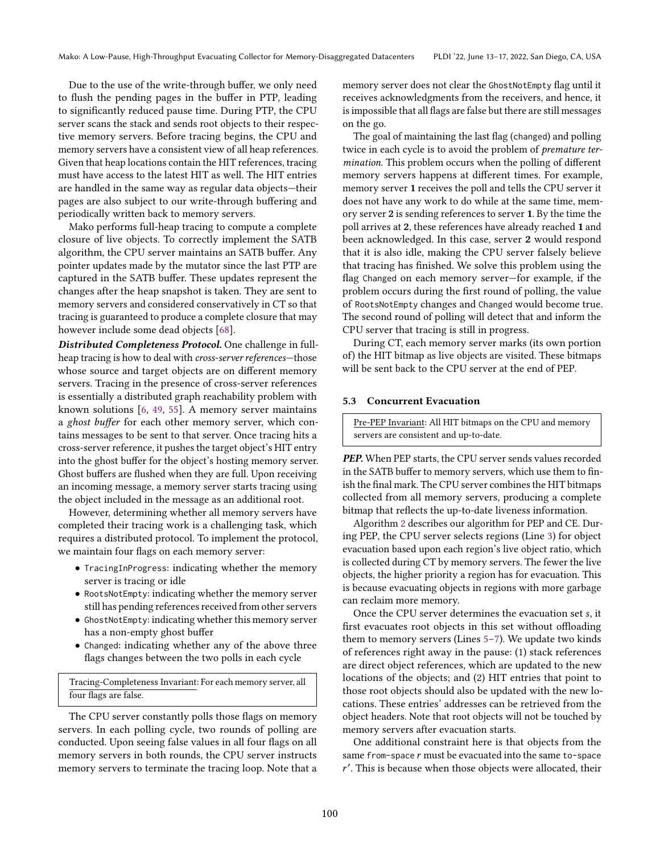Due to the use of the write-through buffer, we only need to flush the pending pages in the buffer in PTP, leading to significantly reduced pause time. During PTP, the CPU server scans the stack and sends root objects to their respective memory servers. Before tracing begins, the CPU and memory servers have a consistent view of all heap references. Given that heap locations contain the HIT references, tracing must have access to the latest HIT as well. The HIT entries are handled in the same way as regular data objects-their pages are also subject to our write-through buffering and periodically written back to memory servers.

Mako performs full-heap tracing to compute a complete closure of live objects. To correctly implement the SATB algorithm, the CPU server maintains an SATB buffer. Any pointer updates made by the mutator since the last PTP are captured in the SATB buffer. These updates represent the changes after the heap snapshot is taken. They are sent to memory servers and considered conservatively in CT so that tracing is guaranteed to produce a complete closure that may however include some dead objects [\[68\]](#page-15-18).

*Distributed Completeness Protocol.* One challenge in fullheap tracing is how to deal with *cross-server references*—those whose source and target objects are on different memory servers. Tracing in the presence of cross-server references is essentially a distributed graph reachability problem with known solutions [\[6,](#page-14-40) [49,](#page-15-20) [55\]](#page-15-21). A memory server maintains a ghost buffer for each other memory server, which contains messages to be sent to that server. Once tracing hits a cross-server reference, it pushes the target object's HIT entry into the ghost buffer for the object's hosting memory server. Ghost buffers are flushed when they are full. Upon receiving an incoming message, a memory server starts tracing using the object included in the message as an additional root.

However, determining whether all memory servers have completed their tracing work is a challenging task, which requires a distributed protocol. To implement the protocol, we maintain four flags on each memory server:

- TracingInProgress: indicating whether the memory server is tracing or idle
- RootsNotEmpty: indicating whether the memory server still has pending references received from other servers
- GhostNotEmpty: indicating whether this memory server has a non-empty ghost buffer
- Changed: indicating whether any of the above three flags changes between the two polls in each cycle

Tracing-Completeness Invariant: For each memory server, all four flags are false.

The CPU server constantly polls those flags on memory servers. In each polling cycle, two rounds of polling are conducted. Upon seeing false values in all four flags on all memory servers in both rounds, the CPU server instructs memory servers to terminate the tracing loop. Note that a

memory server does not clear the GhostNotEmpty flag until it receives acknowledgments from the receivers, and hence, it is impossible that all flags are false but there are still messages on the go.

The goal of maintaining the last flag (changed) and polling twice in each cycle is to avoid the problem of premature termination. This problem occurs when the polling of different memory servers happens at different times. For example, memory server 1 receives the poll and tells the CPU server it does not have any work to do while at the same time, memory server 2 is sending references to server 1. By the time the poll arrives at 2, these references have already reached 1 and been acknowledged. In this case, server 2 would respond that it is also idle, making the CPU server falsely believe that tracing has finished. We solve this problem using the flag Changed on each memory server–for example, if the problem occurs during the first round of polling, the value of RootsNotEmpty changes and Changed would become true. The second round of polling will detect that and inform the CPU server that tracing is still in progress.

During CT, each memory server marks (its own portion of) the HIT bitmap as live objects are visited. These bitmaps will be sent back to the CPU server at the end of PEP.

#### <span id="page-8-0"></span>5.3 Concurrent Evacuation

Pre-PEP Invariant: All HIT bitmaps on the CPU and memory servers are consistent and up-to-date.

*PEP.* When PEP starts, the CPU server sends values recorded in the SATB buffer to memory servers, which use them to finish the final mark. The CPU server combines the HIT bitmaps collected from all memory servers, producing a complete bitmap that reflects the up-to-date liveness information.

Algorithm [2](#page-9-0) describes our algorithm for PEP and CE. During PEP, the CPU server selects regions (Line [3\)](#page-9-2) for object evacuation based upon each region's live object ratio, which is collected during CT by memory servers. The fewer the live objects, the higher priority a region has for evacuation. This is because evacuating objects in regions with more garbage can reclaim more memory.

Once the CPU server determines the evacuation set s, it first evacuates root objects in this set without offloading them to memory servers (Lines  $5-7$  $5-7$ ). We update two kinds of references right away in the pause: (1) stack references are direct object references, which are updated to the new locations of the objects; and (2) HIT entries that point to those root objects should also be updated with the new locations. These entries' addresses can be retrieved from the object headers. Note that root objects will not be touched by memory servers after evacuation starts.

One additional constraint here is that objects from the same from-space  $r$  must be evacuated into the same to-space ′ . This is because when those objects were allocated, their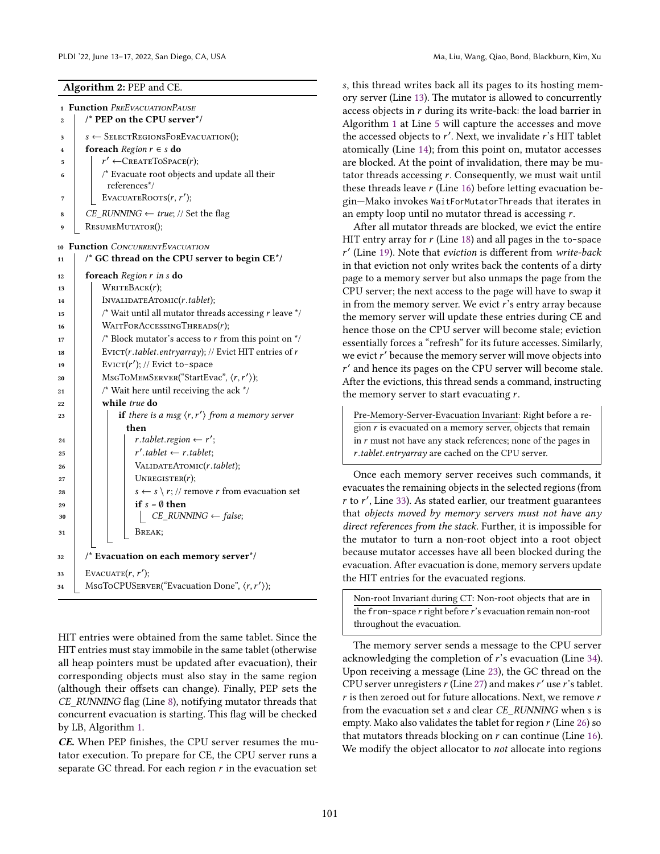<span id="page-9-8"></span><span id="page-9-7"></span><span id="page-9-6"></span><span id="page-9-5"></span><span id="page-9-4"></span><span id="page-9-3"></span><span id="page-9-2"></span><span id="page-9-1"></span><span id="page-9-0"></span>

| $\mathbf{1}$     | <b>Function</b> PREEVACUATIONPAUSE                                                  |
|------------------|-------------------------------------------------------------------------------------|
| $\bf{2}$         | /* PEP on the CPU server*/                                                          |
| 3                | $s \leftarrow$ SelectRegionsForEvacuation();                                        |
| $\boldsymbol{A}$ | <b>foreach</b> Region $r \in s$ do                                                  |
| 5                | $r' \leftarrow$ CREATETOSPACE(r);                                                   |
| 6                | /* Evacuate root objects and update all their<br>references*/                       |
| 7                | EVACUATEROOTS $(r, r')$ ;                                                           |
| 8                | $CE\_RUNNING \leftarrow true; // Set the flag$                                      |
| 9                | RESUMEMUTATOR();                                                                    |
|                  |                                                                                     |
| 10               | <b>Function</b> CONCURRENTEVACUATION                                                |
| 11               | $\prime$ * GC thread on the CPU server to begin CE $^*$ /                           |
| 12               | foreach Region r in s do                                                            |
| 13               | $W$ RITEBACK $(r)$ ;                                                                |
| 14               | INVALIDATEATOMIC(r.tablet);                                                         |
| 15               | $\prime^{\star}$ Wait until all mutator threads accessing $r$ leave $^{\star}\!/\,$ |
| 16               | WAITFORACCESSINGTHREADS(r);                                                         |
| 17               | /* Block mutator's access to $r$ from this point on $\frac{k}{r}$                   |
| 18               | EVICT( $r$ .tablet.entryarray); // Evict HIT entries of $r$                         |
| 19               | EVICT( $r'$ ); // Evict to-space                                                    |
| 20               | MSGTOMEMSERVER("StartEvac", $\langle r, r' \rangle$ );                              |
| 21               | $/*$ Wait here until receiving the ack $*/$                                         |
| 22               | while true do                                                                       |
| 23               | if there is a msg $\langle r, r' \rangle$ from a memory server                      |
|                  | then                                                                                |
| 24               | $r.table t. region \leftarrow r';$                                                  |
| 25               | $r'.tablet \leftarrow r.tablet;$                                                    |
| 26               | VALIDATEATOMIC(r.tablet);                                                           |
| 27               | UNREGISTER $(r)$ ;                                                                  |
| 28               | $s \leftarrow s \setminus r$ ; // remove r from evacuation set                      |
| 29               | if $s = \emptyset$ then                                                             |
| 30               | $\vert$ CE_RUNNING $\leftarrow$ false;                                              |
| 31               | Break:                                                                              |
| 32               | /* Evacuation on each memory server*/                                               |
| 33               | EVACUATE $(r, r')$ ;                                                                |
| 34               | MsGToCPUSERVER("Evacuation Done", $\langle r, r' \rangle$ );                        |
|                  |                                                                                     |

<span id="page-9-14"></span><span id="page-9-13"></span><span id="page-9-11"></span><span id="page-9-10"></span>HIT entries were obtained from the same tablet. Since the HIT entries must stay immobile in the same tablet (otherwise all heap pointers must be updated after evacuation), their corresponding objects must also stay in the same region (although their offsets can change). Finally, PEP sets the CE\_RUNNING flag (Line [8\)](#page-9-5), notifying mutator threads that concurrent evacuation is starting. This flag will be checked by LB, Algorithm [1.](#page-7-0)

*CE.* When PEP finishes, the CPU server resumes the mutator execution. To prepare for CE, the CPU server runs a separate GC thread. For each region  $r$  in the evacuation set

, this thread writes back all its pages to its hosting memory server (Line [13\)](#page-9-6). The mutator is allowed to concurrently access objects in  $r$  during its write-back: the load barrier in Algorithm [1](#page-7-0) at Line [5](#page-7-2) will capture the accesses and move the accessed objects to  $r'$ . Next, we invalidate  $r'$ s HIT tablet atomically (Line [14\)](#page-9-1); from this point on, mutator accesses are blocked. At the point of invalidation, there may be mutator threads accessing  $r$ . Consequently, we must wait until these threads leave  $r$  (Line [16\)](#page-9-7) before letting evacuation begin-Mako invokes WaitForMutatorThreads that iterates in an empty loop until no mutator thread is accessing  $r$ .

After all mutator threads are blocked, we evict the entire HIT entry array for  $r$  (Line [18\)](#page-9-8) and all pages in the to-space ′ (Line [19\)](#page-9-9). Note that eviction is different from write-back in that eviction not only writes back the contents of a dirty page to a memory server but also unmaps the page from the CPU server; the next access to the page will have to swap it in from the memory server. We evict  $\vec{r}$ 's entry array because the memory server will update these entries during CE and hence those on the CPU server will become stale; eviction essentially forces a "refresh" for its future accesses. Similarly, we evict r' because the memory server will move objects into ′ and hence its pages on the CPU server will become stale. After the evictions, this thread sends a command, instructing the memory server to start evacuating  $r$ .

<span id="page-9-9"></span>Pre-Memory-Server-Evacuation Invariant: Right before a region  $r$  is evacuated on a memory server, objects that remain in  $r$  must not have any stack references; none of the pages in .tablet.entryarray are cached on the CPU server.

<span id="page-9-12"></span>Once each memory server receives such commands, it evacuates the remaining objects in the selected regions (from  $r$  to  $r'$ , Line [33\)](#page-9-10). As stated earlier, our treatment guarantees that objects moved by memory servers must not have any direct references from the stack. Further, it is impossible for the mutator to turn a non-root object into a root object because mutator accesses have all been blocked during the evacuation. After evacuation is done, memory servers update the HIT entries for the evacuated regions.

Non-root Invariant during CT: Non-root objects that are in the from-space  $r$  right before  $r$ 's evacuation remain non-root throughout the evacuation.

The memory server sends a message to the CPU server acknowledging the completion of  $r$ 's evacuation (Line [34\)](#page-9-11). Upon receiving a message (Line [23\)](#page-9-12), the GC thread on the CPU server unregisters  $r$  (Line [27\)](#page-9-13) and makes  $r'$  use  $r'$ s tablet.  $r$  is then zeroed out for future allocations. Next, we remove  $r$ from the evacuation set *s* and clear CE\_RUNNING when *s* is empty. Mako also validates the tablet for region  $r$  (Line [26\)](#page-9-14) so that mutators threads blocking on  $r$  can continue (Line [16\)](#page-7-7). We modify the object allocator to *not* allocate into regions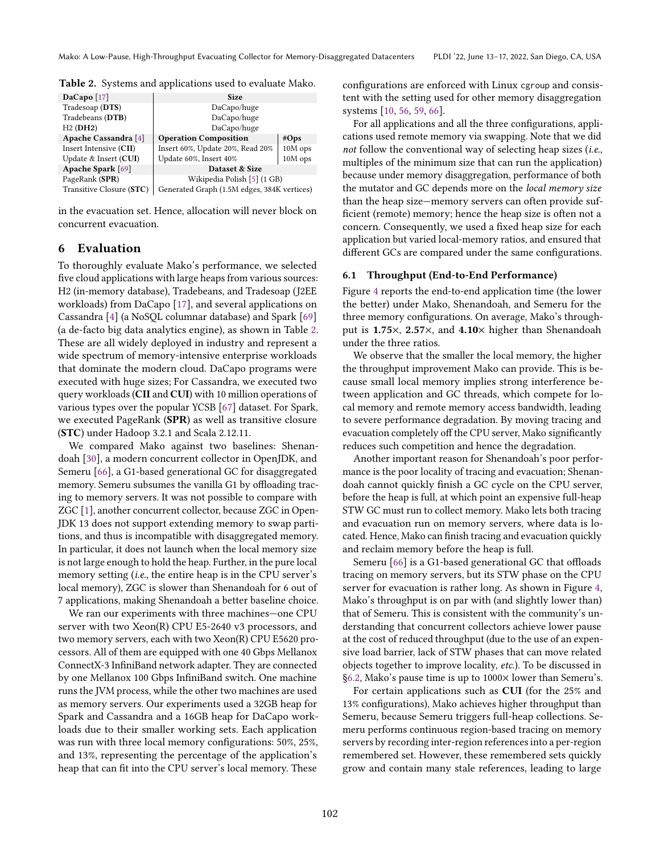<span id="page-10-0"></span>Table 2. Systems and applications used to evaluate Mako.

| DaCapo $[17]$            | <b>Size</b>                                 |         |  |  |
|--------------------------|---------------------------------------------|---------|--|--|
| Tradesoap (DTS)          | DaCapo/huge                                 |         |  |  |
| Tradebeans (DTB)         | DaCapo/huge                                 |         |  |  |
| H2(DH2)                  | DaCapo/huge                                 |         |  |  |
| Apache Cassandra [4]     | <b>Operation Composition</b>                | #Ops    |  |  |
| Insert Intensive (CII)   | Insert 60%, Update 20%, Read 20%            | 10M ops |  |  |
| Update & Insert (CUI)    | Update 60%, Insert 40%                      | 10M ops |  |  |
| Apache Spark [69]        | Dataset & Size                              |         |  |  |
| PageRank (SPR)           | Wikipedia Polish [5] (1 GB)                 |         |  |  |
| Transitive Closure (STC) | Generated Graph (1.5M edges, 384K vertices) |         |  |  |

in the evacuation set. Hence, allocation will never block on concurrent evacuation.

# 6 Evaluation

To thoroughly evaluate Mako's performance, we selected five cloud applications with large heaps from various sources: H2 (in-memory database), Tradebeans, and Tradesoap (J2EE workloads) from DaCapo [\[17\]](#page-14-41), and several applications on Cassandra [\[4\]](#page-14-42) (a NoSQL columnar database) and Spark [\[69\]](#page-15-22) (a de-facto big data analytics engine), as shown in Table [2.](#page-10-0) These are all widely deployed in industry and represent a wide spectrum of memory-intensive enterprise workloads that dominate the modern cloud. DaCapo programs were executed with huge sizes; For Cassandra, we executed two query workloads (CII and CUI) with 10 million operations of various types over the popular YCSB [\[67\]](#page-15-23) dataset. For Spark, we executed PageRank (SPR) as well as transitive closure (STC) under Hadoop 3.2.1 and Scala 2.12.11.

We compared Mako against two baselines: Shenandoah [\[30\]](#page-14-9), a modern concurrent collector in OpenJDK, and Semeru [\[66\]](#page-15-3), a G1-based generational GC for disaggregated memory. Semeru subsumes the vanilla G1 by offloading tracing to memory servers. It was not possible to compare with ZGC [\[1\]](#page-14-28), another concurrent collector, because ZGC in Open-JDK 13 does not support extending memory to swap partitions, and thus is incompatible with disaggregated memory. In particular, it does not launch when the local memory size is not large enough to hold the heap. Further, in the pure local memory setting (i.e., the entire heap is in the CPU server's local memory), ZGC is slower than Shenandoah for 6 out of 7 applications, making Shenandoah a better baseline choice.

We ran our experiments with three machines—one CPU server with two Xeon(R) CPU E5-2640 v3 processors, and two memory servers, each with two Xeon(R) CPU E5620 processors. All of them are equipped with one 40 Gbps Mellanox ConnectX-3 InfiniBand network adapter. They are connected by one Mellanox 100 Gbps InfiniBand switch. One machine runs the JVM process, while the other two machines are used as memory servers. Our experiments used a 32GB heap for Spark and Cassandra and a 16GB heap for DaCapo workloads due to their smaller working sets. Each application was run with three local memory configurations: 50%, 25%, and 13%, representing the percentage of the application's heap that can fit into the CPU server's local memory. These

configurations are enforced with Linux cgroup and consistent with the setting used for other memory disaggregation systems [\[10,](#page-14-8) [56,](#page-15-2) [59,](#page-15-1) [66\]](#page-15-3).

For all applications and all the three configurations, applications used remote memory via swapping. Note that we did not follow the conventional way of selecting heap sizes (i.e., multiples of the minimum size that can run the application) because under memory disaggregation, performance of both the mutator and GC depends more on the local memory size than the heap size—memory servers can often provide sufficient (remote) memory; hence the heap size is often not a concern. Consequently, we used a fixed heap size for each application but varied local-memory ratios, and ensured that different GCs are compared under the same configurations.

#### <span id="page-10-1"></span>6.1 Throughput (End-to-End Performance)

Figure [4](#page-11-0) reports the end-to-end application time (the lower the better) under Mako, Shenandoah, and Semeru for the three memory configurations. On average, Mako's throughput is 1.75 $\times$ , 2.57 $\times$ , and 4.10 $\times$  higher than Shenandoah under the three ratios.

We observe that the smaller the local memory, the higher the throughput improvement Mako can provide. This is because small local memory implies strong interference between application and GC threads, which compete for local memory and remote memory access bandwidth, leading to severe performance degradation. By moving tracing and evacuation completely off the CPU server, Mako significantly reduces such competition and hence the degradation.

Another important reason for Shenandoah's poor performance is the poor locality of tracing and evacuation; Shenandoah cannot quickly finish a GC cycle on the CPU server, before the heap is full, at which point an expensive full-heap STW GC must run to collect memory. Mako lets both tracing and evacuation run on memory servers, where data is located. Hence, Mako can finish tracing and evacuation quickly and reclaim memory before the heap is full.

Semeru [\[66\]](#page-15-3) is a G1-based generational GC that offloads tracing on memory servers, but its STW phase on the CPU server for evacuation is rather long. As shown in Figure [4,](#page-11-0) Mako's throughput is on par with (and slightly lower than) that of Semeru. This is consistent with the community's understanding that concurrent collectors achieve lower pause at the cost of reduced throughput (due to the use of an expensive load barrier, lack of STW phases that can move related objects together to improve locality, etc.). To be discussed in §6.2, Mako's pause time is up to 1000× lower than Semeru's.

For certain applications such as CUI (for the 25% and 13% configurations), Mako achieves higher throughput than Semeru, because Semeru triggers full-heap collections. Semeru performs continuous region-based tracing on memory servers by recording inter-region references into a per-region remembered set. However, these remembered sets quickly grow and contain many stale references, leading to large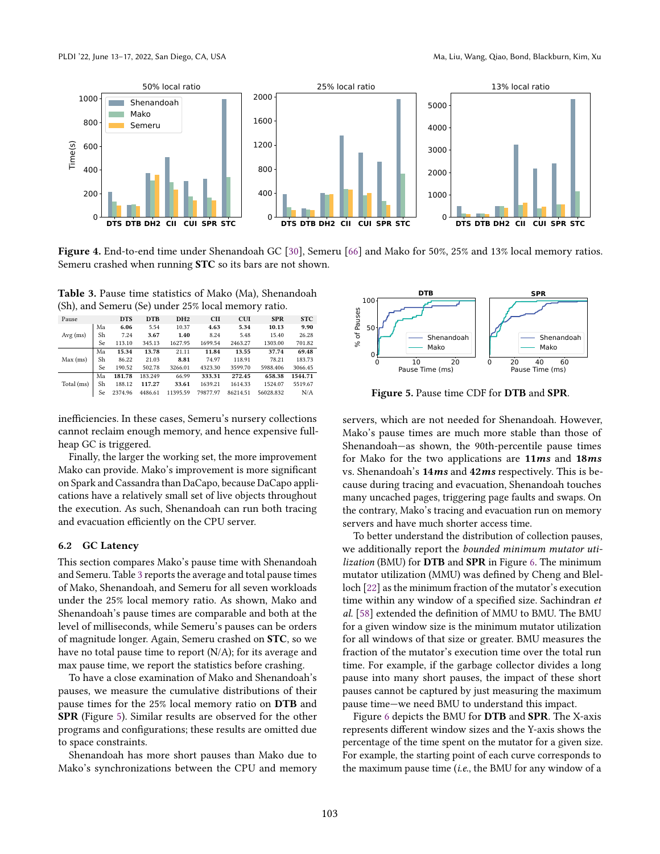<span id="page-11-0"></span>

Figure 4. End-to-end time under Shenandoah GC [\[30\]](#page-14-9), Semeru [\[66\]](#page-15-3) and Mako for 50%, 25% and 13% local memory ratios. Semeru crashed when running STC so its bars are not shown.

<span id="page-11-2"></span>Table 3. Pause time statistics of Mako (Ma), Shenandoah (Sh), and Semeru (Se) under 25% local memory ratio.

| Pause      |    | <b>DTS</b> | <b>DTB</b> | DH <sub>2</sub> | <b>CII</b> | <b>CUI</b> | <b>SPR</b> | <b>STC</b> |
|------------|----|------------|------------|-----------------|------------|------------|------------|------------|
|            | Ma | 6.06       | 5.54       | 10.37           | 4.63       | 5.34       | 10.13      | 9.90       |
| $Avg$ (ms) | Sh | 7.24       | 3.67       | 1.40            | 8.24       | 5.48       | 15.40      | 26.28      |
|            | Se | 113.10     | 345.13     | 1627.95         | 1699.54    | 2463.27    | 1303.00    | 701.82     |
|            | Ma | 15.34      | 13.78      | 21.11           | 11.84      | 13.55      | 37.74      | 69.48      |
| $Max$ (ms) | Sh | 86.22      | 21.03      | 8.81            | 74.97      | 118.91     | 78.21      | 183.73     |
|            | Se | 190.52     | 502.78     | 3266.01         | 4323.30    | 3599.70    | 5988.406   | 3066.45    |
|            | Ma | 181.78     | 183.249    | 66.99           | 333.31     | 272.45     | 658.38     | 1544.71    |
| Total (ms) | Sh | 188.12     | 117.27     | 33.61           | 1639.21    | 1614.33    | 1524.07    | 5519.67    |
|            | Se | 2374.96    | 4486.61    | 11395.59        | 79877.97   | 86214.51   | 56028.832  | N/A        |
|            |    |            |            |                 |            |            |            |            |

inefficiencies. In these cases, Semeru's nursery collections cannot reclaim enough memory, and hence expensive fullheap GC is triggered.

Finally, the larger the working set, the more improvement Mako can provide. Mako's improvement is more significant on Spark and Cassandra than DaCapo, because DaCapo applications have a relatively small set of live objects throughout the execution. As such, Shenandoah can run both tracing and evacuation efficiently on the CPU server.

#### <span id="page-11-1"></span>6.2 GC Latency

This section compares Mako's pause time with Shenandoah and Semeru. Table [3](#page-11-2) reports the average and total pause times of Mako, Shenandoah, and Semeru for all seven workloads under the 25% local memory ratio. As shown, Mako and Shenandoah's pause times are comparable and both at the level of milliseconds, while Semeru's pauses can be orders of magnitude longer. Again, Semeru crashed on STC, so we have no total pause time to report (N/A); for its average and max pause time, we report the statistics before crashing.

To have a close examination of Mako and Shenandoah's pauses, we measure the cumulative distributions of their pause times for the 25% local memory ratio on DTB and SPR (Figure [5\)](#page-11-3). Similar results are observed for the other programs and configurations; these results are omitted due to space constraints.

Shenandoah has more short pauses than Mako due to Mako's synchronizations between the CPU and memory

<span id="page-11-3"></span>

Figure 5. Pause time CDF for DTB and SPR.

servers, which are not needed for Shenandoah. However, Mako's pause times are much more stable than those of Shenandoah—as shown, the 90th-percentile pause times for Mako for the two applications are 11*ms* and 18*ms* vs. Shenandoah's 14*ms* and 42*ms* respectively. This is because during tracing and evacuation, Shenandoah touches many uncached pages, triggering page faults and swaps. On the contrary, Mako's tracing and evacuation run on memory servers and have much shorter access time.

To better understand the distribution of collection pauses, we additionally report the bounded minimum mutator uti-lization (BMU) for DTB and SPR in Figure [6.](#page-12-0) The minimum mutator utilization (MMU) was defined by Cheng and Blelloch [\[22\]](#page-14-44) as the minimum fraction of the mutator's execution time within any window of a specified size. Sachindran et al. [\[58\]](#page-15-24) extended the definition of MMU to BMU. The BMU for a given window size is the minimum mutator utilization for all windows of that size or greater. BMU measures the fraction of the mutator's execution time over the total run time. For example, if the garbage collector divides a long pause into many short pauses, the impact of these short pauses cannot be captured by just measuring the maximum pause time—we need BMU to understand this impact.

Figure [6](#page-12-0) depicts the BMU for DTB and SPR. The X-axis represents different window sizes and the Y-axis shows the percentage of the time spent on the mutator for a given size. For example, the starting point of each curve corresponds to the maximum pause time (i.e., the BMU for any window of a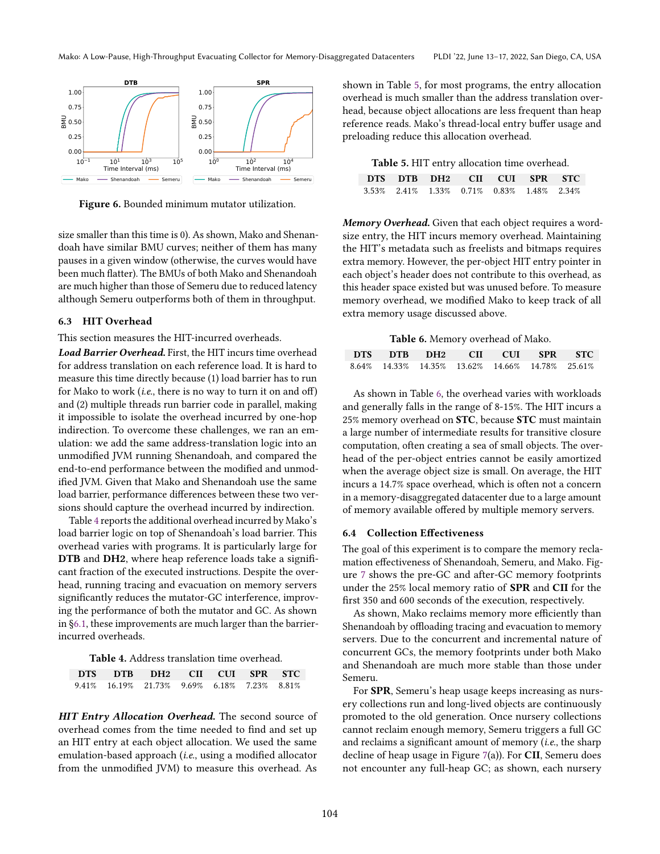<span id="page-12-0"></span>

**Figure 6.** Bounded minimum mutator utilization.

size smaller than this time is 0). As shown, Mako and Shenandoah have similar BMU curves; neither of them has many pauses in a given window (otherwise, the curves would have been much flatter). The BMUs of both Mako and Shenandoah are much higher than those of Semeru due to reduced latency although Semeru outperforms both of them in throughput.

#### 6.3 HIT Overhead

This section measures the HIT-incurred overheads.

*Load Barrier Overhead.* First, the HIT incurs time overhead for address translation on each reference load. It is hard to measure this time directly because (1) load barrier has to run for Mako to work (i.e., there is no way to turn it on and off) and (2) multiple threads run barrier code in parallel, making it impossible to isolate the overhead incurred by one-hop indirection. To overcome these challenges, we ran an emulation: we add the same address-translation logic into an unmodified JVM running Shenandoah, and compared the end-to-end performance between the modified and unmodified JVM. Given that Mako and Shenandoah use the same load barrier, performance differences between these two versions should capture the overhead incurred by indirection.

Table [4](#page-12-1) reports the additional overhead incurred by Mako's load barrier logic on top of Shenandoah's load barrier. This overhead varies with programs. It is particularly large for DTB and DH2, where heap reference loads take a significant fraction of the executed instructions. Despite the overhead, running tracing and evacuation on memory servers significantly reduces the mutator-GC interference, improving the performance of both the mutator and GC. As shown in [ğ6.1,](#page-10-1) these improvements are much larger than the barrierincurred overheads.

Table 4. Address translation time overhead.

<span id="page-12-1"></span>

|  | DTS DTB DH2 CII CUI SPR STC                 |  |  |
|--|---------------------------------------------|--|--|
|  | 9.41% 16.19% 21.73% 9.69% 6.18% 7.23% 8.81% |  |  |

*HIT Entry Allocation Overhead.* The second source of overhead comes from the time needed to find and set up an HIT entry at each object allocation. We used the same emulation-based approach (i.e., using a modified allocator from the unmodified JVM) to measure this overhead. As

shown in Table [5,](#page-12-2) for most programs, the entry allocation overhead is much smaller than the address translation overhead, because object allocations are less frequent than heap reference reads. Mako's thread-local entry buffer usage and preloading reduce this allocation overhead.

Table 5. HIT entry allocation time overhead.

<span id="page-12-2"></span>

| DTS DTB DH2 CII CUI SPR STC               |  |  |  |
|-------------------------------------------|--|--|--|
| 3.53% 2.41% 1.33% 0.71% 0.83% 1.48% 2.34% |  |  |  |

*Memory Overhead.* Given that each object requires a wordsize entry, the HIT incurs memory overhead. Maintaining the HIT's metadata such as freelists and bitmaps requires extra memory. However, the per-object HIT entry pointer in each object's header does not contribute to this overhead, as this header space existed but was unused before. To measure memory overhead, we modified Mako to keep track of all extra memory usage discussed above.

Table 6. Memory overhead of Mako.

<span id="page-12-3"></span>

| DTS DTB DH2 CII CUI SPR STC                     |  |  |  |
|-------------------------------------------------|--|--|--|
| 8.64% 14.33% 14.35% 13.62% 14.66% 14.78% 25.61% |  |  |  |

As shown in Table [6,](#page-12-3) the overhead varies with workloads and generally falls in the range of 8-15%. The HIT incurs a 25% memory overhead on STC, because STC must maintain a large number of intermediate results for transitive closure computation, often creating a sea of small objects. The overhead of the per-object entries cannot be easily amortized when the average object size is small. On average, the HIT incurs a 14.7% space overhead, which is often not a concern in a memory-disaggregated datacenter due to a large amount of memory available offered by multiple memory servers.

## 6.4 Collection Effectiveness

The goal of this experiment is to compare the memory reclamation effectiveness of Shenandoah, Semeru, and Mako. Figure [7](#page-13-0) shows the pre-GC and after-GC memory footprints under the 25% local memory ratio of SPR and CII for the first 350 and 600 seconds of the execution, respectively.

As shown, Mako reclaims memory more efficiently than Shenandoah by offloading tracing and evacuation to memory servers. Due to the concurrent and incremental nature of concurrent GCs, the memory footprints under both Mako and Shenandoah are much more stable than those under Semeru.

For SPR, Semeru's heap usage keeps increasing as nursery collections run and long-lived objects are continuously promoted to the old generation. Once nursery collections cannot reclaim enough memory, Semeru triggers a full GC and reclaims a significant amount of memory (i.e., the sharp decline of heap usage in Figure [7\(](#page-13-0)a)). For CII, Semeru does not encounter any full-heap GC; as shown, each nursery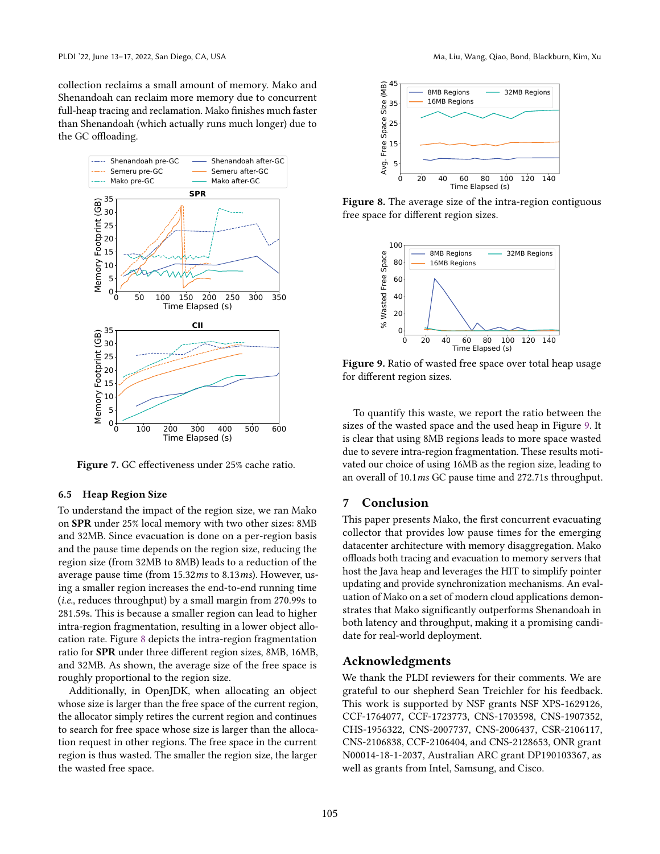collection reclaims a small amount of memory. Mako and Shenandoah can reclaim more memory due to concurrent full-heap tracing and reclamation. Mako finishes much faster than Shenandoah (which actually runs much longer) due to the GC offloading.

<span id="page-13-0"></span>

Figure 7. GC effectiveness under 25% cache ratio.

#### 6.5 Heap Region Size

To understand the impact of the region size, we ran Mako on SPR under 25% local memory with two other sizes: 8MB and 32MB. Since evacuation is done on a per-region basis and the pause time depends on the region size, reducing the region size (from 32MB to 8MB) leads to a reduction of the average pause time (from 15.32ms to 8.13ms). However, using a smaller region increases the end-to-end running time (i.e., reduces throughput) by a small margin from 270.99s to 281.59s. This is because a smaller region can lead to higher intra-region fragmentation, resulting in a lower object allocation rate. Figure [8](#page-13-1) depicts the intra-region fragmentation ratio for SPR under three different region sizes, 8MB, 16MB, and 32MB. As shown, the average size of the free space is roughly proportional to the region size.

Additionally, in OpenJDK, when allocating an object whose size is larger than the free space of the current region, the allocator simply retires the current region and continues to search for free space whose size is larger than the allocation request in other regions. The free space in the current region is thus wasted. The smaller the region size, the larger the wasted free space.

<span id="page-13-1"></span>

Figure 8. The average size of the intra-region contiguous free space for different region sizes.

<span id="page-13-2"></span>

Figure 9. Ratio of wasted free space over total heap usage for different region sizes.

To quantify this waste, we report the ratio between the sizes of the wasted space and the used heap in Figure [9.](#page-13-2) It is clear that using 8MB regions leads to more space wasted due to severe intra-region fragmentation. These results motivated our choice of using 16MB as the region size, leading to an overall of 10.1ms GC pause time and 272.71s throughput.

## 7 Conclusion

This paper presents Mako, the first concurrent evacuating collector that provides low pause times for the emerging datacenter architecture with memory disaggregation. Mako offloads both tracing and evacuation to memory servers that host the Java heap and leverages the HIT to simplify pointer updating and provide synchronization mechanisms. An evaluation of Mako on a set of modern cloud applications demonstrates that Mako significantly outperforms Shenandoah in both latency and throughput, making it a promising candidate for real-world deployment.

## Acknowledgments

We thank the PLDI reviewers for their comments. We are grateful to our shepherd Sean Treichler for his feedback. This work is supported by NSF grants NSF XPS-1629126, CCF-1764077, CCF-1723773, CNS-1703598, CNS-1907352, CHS-1956322, CNS-2007737, CNS-2006437, CSR-2106117, CNS-2106838, CCF-2106404, and CNS-2128653, ONR grant N00014-18-1-2037, Australian ARC grant DP190103367, as well as grants from Intel, Samsung, and Cisco.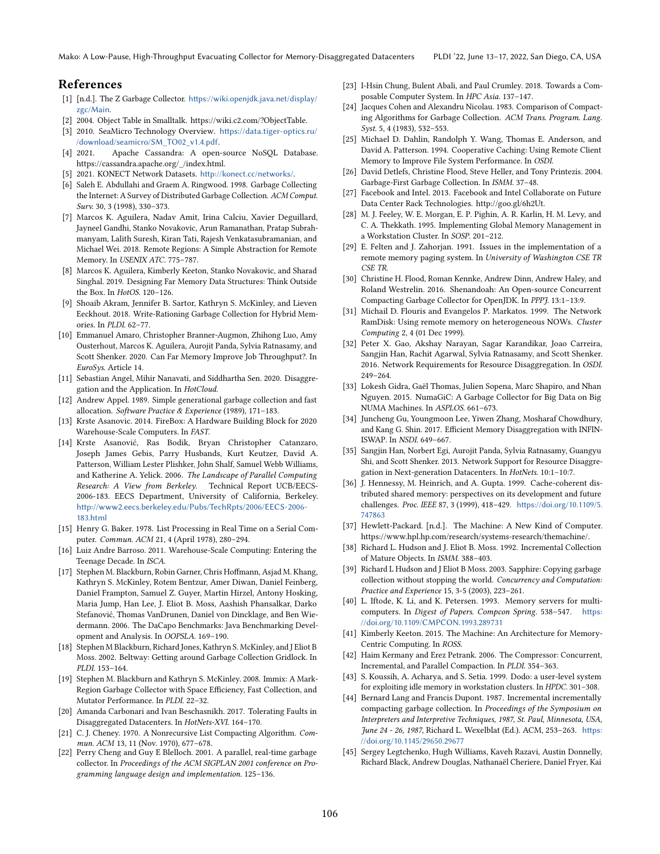Mako: A Low-Pause, High-Throughput Evacuating Collector for Memory-Disaggregated Datacenters PLDI '22, June 13-17, 2022, San Diego, CA, USA

## References

- <span id="page-14-28"></span>[1] [n.d.]. The Z Garbage Collector. [https://wiki.openjdk.java.net/display/](https://wiki.openjdk.java.net/display/zgc/Main) [zgc/Main](https://wiki.openjdk.java.net/display/zgc/Main).
- <span id="page-14-39"></span>[2] 2004. Object Table in Smalltalk. https://wiki.c2.com/?ObjectTable.
- <span id="page-14-3"></span>[3] 2010. SeaMicro Technology Overview. [https://data.tiger-optics.ru/](https://data.tiger-optics.ru//download/seamicro/SM_TO02_v1.4.pdf) [/download/seamicro/SM\\_TO02\\_v1.4.pdf](https://data.tiger-optics.ru//download/seamicro/SM_TO02_v1.4.pdf).
- <span id="page-14-42"></span>[4] 2021. Apache Cassandra: A open-source NoSQL Database. https://cassandra.apache.org/\_/index.html.
- <span id="page-14-43"></span>[5] 2021. KONECT Network Datasets. <http://konect.cc/networks/>.
- <span id="page-14-40"></span>[6] Saleh E. Abdullahi and Graem A. Ringwood. 1998. Garbage Collecting the Internet: A Survey of Distributed Garbage Collection. ACM Comput. Surv. 30, 3 (1998), 330-373.
- <span id="page-14-18"></span>[7] Marcos K. Aguilera, Nadav Amit, Irina Calciu, Xavier Deguillard, Jayneel Gandhi, Stanko Novakovic, Arun Ramanathan, Pratap Subrahmanyam, Lalith Suresh, Kiran Tati, Rajesh Venkatasubramanian, and Michael Wei. 2018. Remote Regions: A Simple Abstraction for Remote Memory. In USENIX ATC. 775-787.
- <span id="page-14-14"></span>[8] Marcos K. Aguilera, Kimberly Keeton, Stanko Novakovic, and Sharad Singhal. 2019. Designing Far Memory Data Structures: Think Outside the Box. In HotOS. 120-126.
- <span id="page-14-38"></span>[9] Shoaib Akram, Jennifer B. Sartor, Kathryn S. McKinley, and Lieven Eeckhout. 2018. Write-Rationing Garbage Collection for Hybrid Memories. In PLDI. 62-77.
- <span id="page-14-8"></span>[10] Emmanuel Amaro, Christopher Branner-Augmon, Zhihong Luo, Amy Ousterhout, Marcos K. Aguilera, Aurojit Panda, Sylvia Ratnasamy, and Scott Shenker. 2020. Can Far Memory Improve Job Throughput?. In EuroSys. Article 14.
- <span id="page-14-15"></span>[11] Sebastian Angel, Mihir Nanavati, and Siddhartha Sen. 2020. Disaggregation and the Application. In HotCloud.
- <span id="page-14-30"></span>[12] Andrew Appel. 1989. Simple generational garbage collection and fast allocation. Software Practice & Experience (1989), 171-183.
- <span id="page-14-0"></span>[13] Krste Asanovic. 2014. FireBox: A Hardware Building Block for 2020 Warehouse-Scale Computers. In FAST.
- <span id="page-14-16"></span>[14] Krste Asanović, Ras Bodik, Bryan Christopher Catanzaro, Joseph James Gebis, Parry Husbands, Kurt Keutzer, David A. Patterson, William Lester Plishker, John Shalf, Samuel Webb Williams, and Katherine A. Yelick. 2006. The Landscape of Parallel Computing Research: A View from Berkeley. Technical Report UCB/EECS-2006-183. EECS Department, University of California, Berkeley. [http://www2.eecs.berkeley.edu/Pubs/TechRpts/2006/EECS-2006-](http://www2.eecs.berkeley.edu/Pubs/TechRpts/2006/EECS-2006-183.html) [183.html](http://www2.eecs.berkeley.edu/Pubs/TechRpts/2006/EECS-2006-183.html)
- <span id="page-14-25"></span>[15] Henry G. Baker. 1978. List Processing in Real Time on a Serial Computer. Commun. ACM 21, 4 (April 1978), 280-294.
- <span id="page-14-11"></span>[16] Luiz Andre Barroso. 2011. Warehouse-Scale Computing: Entering the Teenage Decade. In ISCA.
- <span id="page-14-41"></span>[17] Stephen M. Blackburn, Robin Garner, Chris Hoffmann, Asjad M. Khang, Kathryn S. McKinley, Rotem Bentzur, Amer Diwan, Daniel Feinberg, Daniel Frampton, Samuel Z. Guyer, Martin Hirzel, Antony Hosking, Maria Jump, Han Lee, J. Eliot B. Moss, Aashish Phansalkar, Darko Stefanović, Thomas VanDrunen, Daniel von Dincklage, and Ben Wiedermann. 2006. The DaCapo Benchmarks: Java Benchmarking Development and Analysis. In OOPSLA. 169-190.
- <span id="page-14-31"></span>[18] Stephen M Blackburn, Richard Jones, Kathryn S. McKinley, and J Eliot B Moss. 2002. Beltway: Getting around Garbage Collection Gridlock. In PLDI. 153-164.
- <span id="page-14-36"></span>[19] Stephen M. Blackburn and Kathryn S. McKinley. 2008. Immix: A Mark-Region Garbage Collector with Space Efficiency, Fast Collection, and Mutator Performance. In PLDI. 22-32.
- <span id="page-14-12"></span>[20] Amanda Carbonari and Ivan Beschasnikh. 2017. Tolerating Faults in Disaggregated Datacenters. In HotNets-XVI. 164-170.
- <span id="page-14-32"></span>[21] C. J. Cheney. 1970. A Nonrecursive List Compacting Algorithm. Commun. ACM 13, 11 (Nov. 1970), 677-678.
- <span id="page-14-44"></span>[22] Perry Cheng and Guy E Blelloch. 2001. A parallel, real-time garbage collector. In Proceedings of the ACM SIGPLAN 2001 conference on Programming language design and implementation. 125-136.
- <span id="page-14-4"></span>[23] I-Hsin Chung, Bulent Abali, and Paul Crumley. 2018. Towards a Composable Computer System. In HPC Asia. 137-147.
- <span id="page-14-35"></span>[24] Jacques Cohen and Alexandru Nicolau. 1983. Comparison of Compacting Algorithms for Garbage Collection. ACM Trans. Program. Lang.  $Syst. 5, 4$  (1983), 532–553.
- <span id="page-14-19"></span>[25] Michael D. Dahlin, Randolph Y. Wang, Thomas E. Anderson, and David A. Patterson. 1994. Cooperative Caching: Using Remote Client Memory to Improve File System Performance. In OSDI.
- <span id="page-14-33"></span>[26] David Detlefs, Christine Flood, Steve Heller, and Tony Printezis. 2004. Garbage-First Garbage Collection. In ISMM. 37-48.
- <span id="page-14-5"></span>[27] Facebook and Intel. 2013. Facebook and Intel Collaborate on Future Data Center Rack Technologies. http://goo.gl/6h2Ut.
- <span id="page-14-20"></span>[28] M. J. Feeley, W. E. Morgan, E. P. Pighin, A. R. Karlin, H. M. Levy, and C. A. Thekkath. 1995. Implementing Global Memory Management in a Workstation Cluster. In SOSP. 201-212.
- <span id="page-14-21"></span>[29] E. Felten and J. Zahorjan. 1991. Issues in the implementation of a remote memory paging system. In University of Washington CSE TR CSE TR.
- <span id="page-14-9"></span>[30] Christine H. Flood, Roman Kennke, Andrew Dinn, Andrew Haley, and Roland Westrelin. 2016. Shenandoah: An Open-source Concurrent Compacting Garbage Collector for OpenJDK. In PPPJ. 13:1-13:9.
- <span id="page-14-22"></span>[31] Michail D. Flouris and Evangelos P. Markatos. 1999. The Network RamDisk: Using remote memory on heterogeneous NOWs. Cluster Computing 2, 4 (01 Dec 1999).
- <span id="page-14-1"></span>[32] Peter X. Gao, Akshay Narayan, Sagar Karandikar, Joao Carreira, Sangjin Han, Rachit Agarwal, Sylvia Ratnasamy, and Scott Shenker. 2016. Network Requirements for Resource Disaggregation. In OSDI.  $249 - 264.$
- <span id="page-14-37"></span>[33] Lokesh Gidra, Gaël Thomas, Julien Sopena, Marc Shapiro, and Nhan Nguyen. 2015. NumaGiC: A Garbage Collector for Big Data on Big NUMA Machines. In ASPLOS. 661-673.
- <span id="page-14-2"></span>[34] Juncheng Gu, Youngmoon Lee, Yiwen Zhang, Mosharaf Chowdhury, and Kang G. Shin. 2017. Efficient Memory Disaggregation with INFIN-ISWAP. In NSDI. 649-667.
- <span id="page-14-13"></span>[35] Sangjin Han, Norbert Egi, Aurojit Panda, Sylvia Ratnasamy, Guangyu Shi, and Scott Shenker. 2013. Network Support for Resource Disaggregation in Next-generation Datacenters. In HotNets. 10:1-10:7.
- <span id="page-14-29"></span>[36] J. Hennessy, M. Heinrich, and A. Gupta. 1999. Cache-coherent distributed shared memory: perspectives on its development and future challenges. Proc. IEEE 87, 3 (1999), 418-429. [https://doi.org/10.1109/5.](https://doi.org/10.1109/5.747863) [747863](https://doi.org/10.1109/5.747863)
- <span id="page-14-6"></span>[37] Hewlett-Packard. [n.d.]. The Machine: A New Kind of Computer. https://www.hpl.hp.com/research/systems-research/themachine/.
- <span id="page-14-34"></span>[38] Richard L. Hudson and J. Eliot B. Moss. 1992. Incremental Collection of Mature Objects. In ISMM. 388-403.
- <span id="page-14-26"></span>[39] Richard L Hudson and J Eliot B Moss. 2003. Sapphire: Copying garbage collection without stopping the world. Concurrency and Computation: Practice and Experience 15, 3-5 (2003), 223-261.
- <span id="page-14-23"></span>[40] L. Iftode, K. Li, and K. Petersen. 1993. Memory servers for multicomputers. In Digest of Papers. Compcon Spring. 538-547. [https:](https://doi.org/10.1109/CMPCON.1993.289731) [//doi.org/10.1109/CMPCON.1993.289731](https://doi.org/10.1109/CMPCON.1993.289731)
- <span id="page-14-17"></span>[41] Kimberly Keeton. 2015. The Machine: An Architecture for Memory-Centric Computing. In ROSS.
- <span id="page-14-27"></span>[42] Haim Kermany and Erez Petrank. 2006. The Compressor: Concurrent, Incremental, and Parallel Compaction. In PLDI. 354-363.
- <span id="page-14-24"></span>[43] S. Koussih, A. Acharya, and S. Setia. 1999. Dodo: a user-level system for exploiting idle memory in workstation clusters. In *HPDC*. 301–308.
- <span id="page-14-10"></span>[44] Bernard Lang and Francis Dupont. 1987. Incremental incrementally compacting garbage collection. In Proceedings of the Symposium on Interpreters and Interpretive Techniques, 1987, St. Paul, Minnesota, USA, June 24 - 26, 1987, Richard L. Wexelblat (Ed.). ACM, 253-263. [https:](https://doi.org/10.1145/29650.29677) [//doi.org/10.1145/29650.29677](https://doi.org/10.1145/29650.29677)
- <span id="page-14-7"></span>[45] Sergey Legtchenko, Hugh Williams, Kaveh Razavi, Austin Donnelly, Richard Black, Andrew Douglas, Nathanaël Cheriere, Daniel Fryer, Kai